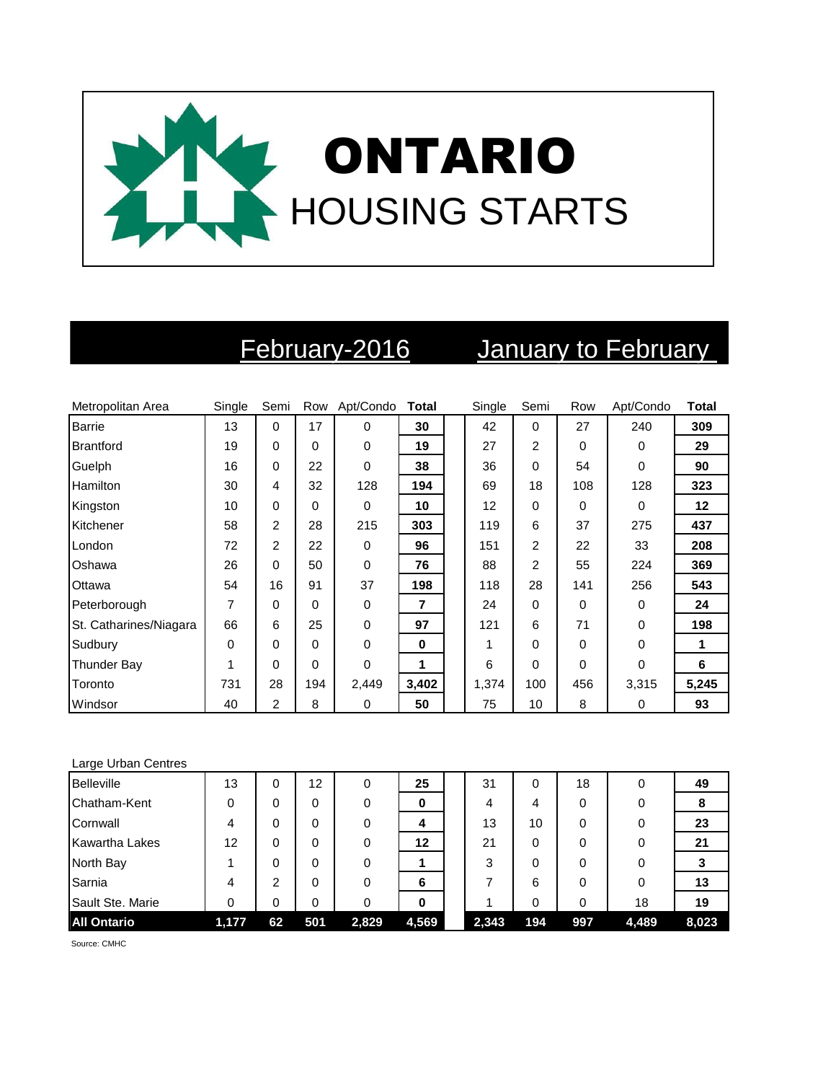

# February-2016 January to February

| Metropolitan Area      | Single | Semi           | Row | Apt/Condo   | <b>Total</b> | Single | Semi           | Row | Apt/Condo | <b>Total</b> |
|------------------------|--------|----------------|-----|-------------|--------------|--------|----------------|-----|-----------|--------------|
| <b>Barrie</b>          | 13     | $\Omega$       | 17  | $\Omega$    | 30           | 42     | $\Omega$       | 27  | 240       | 309          |
| <b>Brantford</b>       | 19     | $\Omega$       | 0   | 0           | 19           | 27     | $\overline{2}$ | 0   | 0         | 29           |
| Guelph                 | 16     | $\Omega$       | 22  | $\mathbf 0$ | 38           | 36     | $\Omega$       | 54  | $\Omega$  | 90           |
| <b>Hamilton</b>        | 30     | 4              | 32  | 128         | 194          | 69     | 18             | 108 | 128       | 323          |
| Kingston               | 10     | $\Omega$       | 0   | 0           | 10           | 12     | $\Omega$       | 0   | $\Omega$  | 12           |
| Kitchener              | 58     | $\overline{2}$ | 28  | 215         | 303          | 119    | 6              | 37  | 275       | 437          |
| London                 | 72     | $\overline{2}$ | 22  | $\Omega$    | 96           | 151    | $\overline{2}$ | 22  | 33        | 208          |
| Oshawa                 | 26     | $\Omega$       | 50  | $\mathbf 0$ | 76           | 88     | $\overline{2}$ | 55  | 224       | 369          |
| Ottawa                 | 54     | 16             | 91  | 37          | 198          | 118    | 28             | 141 | 256       | 543          |
| Peterborough           | 7      | $\Omega$       | 0   | 0           | 7            | 24     | $\Omega$       | 0   | $\Omega$  | 24           |
| St. Catharines/Niagara | 66     | 6              | 25  | $\mathbf 0$ | 97           | 121    | 6              | 71  | $\Omega$  | 198          |
| Sudbury                | 0      | $\Omega$       | 0   | $\Omega$    | 0            |        | $\Omega$       | 0   | $\Omega$  | 1            |
| Thunder Bay            | 1      | $\Omega$       | 0   | $\Omega$    | 1            | 6      | $\Omega$       | 0   | $\Omega$  | 6            |
| Toronto                | 731    | 28             | 194 | 2,449       | 3,402        | 1,374  | 100            | 456 | 3,315     | 5,245        |
| Windsor                | 40     | 2              | 8   | 0           | 50           | 75     | 10             | 8   | 0         | 93           |

### Large Urban Centres

| <b>Belleville</b>     | 13    | 0  | 12  | 0     | 25      | 31    |     | 18  | 0     | 49    |
|-----------------------|-------|----|-----|-------|---------|-------|-----|-----|-------|-------|
| Chatham-Kent          | 0     | 0  | 0   | 0     | 0       | 4     | 4   | 0   |       | 8     |
| Cornwall              | 4     | 0  | 0   | 0     | 4       | 13    | 10  | 0   |       | 23    |
| <b>Kawartha Lakes</b> | 12    | 0  | 0   | 0     | $12 \,$ | 21    |     | 0   |       | 21    |
| North Bay             |       | 0  | 0   | 0     |         | 3     |     | 0   |       |       |
| Sarnia                | 4     | ົ  | 0   | 0     | 6       |       | 6   | 0   |       | 13    |
| Sault Ste. Marie      | 0     | 0  | 0   |       | 0       |       |     | 0   | 18    | 19    |
| <b>All Ontario</b>    | 1,177 | 62 | 501 | 2,829 | 4,569   | 2,343 | 194 | 997 | 4,489 | 8,023 |

Source: CMHC